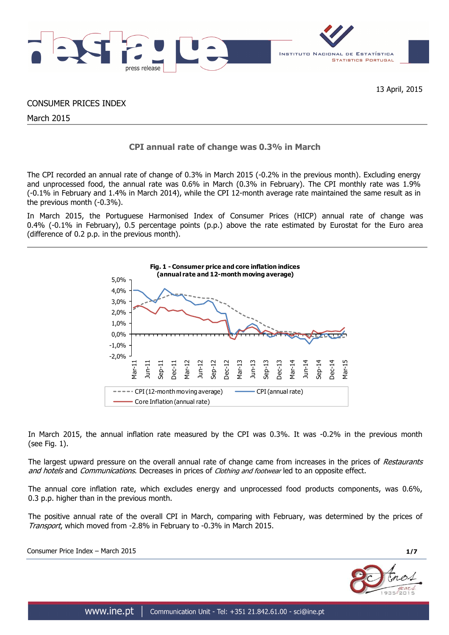

CONSUMER PRICES INDEX

March 2015

# **CPI annual rate of change was 0.3% in March**

The CPI recorded an annual rate of change of 0.3% in March 2015 (-0.2% in the previous month). Excluding energy and unprocessed food, the annual rate was 0.6% in March (0.3% in February). The CPI monthly rate was 1.9% (-0.1% in February and 1.4% in March 2014), while the CPI 12-month average rate maintained the same result as in the previous month (-0.3%).

In March 2015, the Portuguese Harmonised Index of Consumer Prices (HICP) annual rate of change was 0.4% (-0.1% in February), 0.5 percentage points (p.p.) above the rate estimated by Eurostat for the Euro area (difference of 0.2 p.p. in the previous month).



In March 2015, the annual inflation rate measured by the CPI was 0.3%. It was -0.2% in the previous month (see Fig. 1).

The largest upward pressure on the overall annual rate of change came from increases in the prices of Restaurants and hotels and Communications. Decreases in prices of Clothing and footwear led to an opposite effect.

The annual core inflation rate, which excludes energy and unprocessed food products components, was 0.6%, 0.3 p.p. higher than in the previous month.

The positive annual rate of the overall CPI in March, comparing with February, was determined by the prices of Transport, which moved from -2.8% in February to -0.3% in March 2015.

Consumer Price Index – March 2015 **1/7**

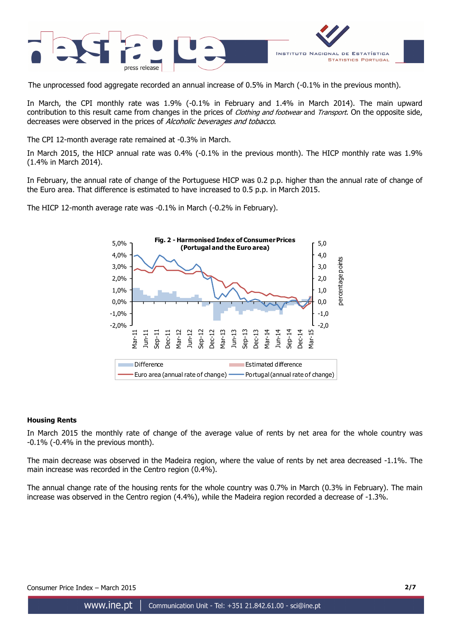

The unprocessed food aggregate recorded an annual increase of 0.5% in March (-0.1% in the previous month).

In March, the CPI monthly rate was 1.9% (-0.1% in February and 1.4% in March 2014). The main upward contribution to this result came from changes in the prices of *Clothing and footwear* and *Transport*. On the opposite side, decreases were observed in the prices of Alcoholic beverages and tobacco.

The CPI 12-month average rate remained at -0.3% in March.

In March 2015, the HICP annual rate was 0.4% (-0.1% in the previous month). The HICP monthly rate was 1.9% (1.4% in March 2014).

In February, the annual rate of change of the Portuguese HICP was 0.2 p.p. higher than the annual rate of change of the Euro area. That difference is estimated to have increased to 0.5 p.p. in March 2015.

> **Fig. 2 - Harmonised Index of Consumer Prices**  5,0% 5,0 **(Portugal and the Euro area)** 4,0% 4,0 bercentage points 3,0% 3,0 2,0% 2,0 1,0% 1,0 0,0% 0,0 -1,0% -1,0 -2,0% -2,0 Dec-12 Mar-15 Sep-14 Jun-11 Mar-12 Jun-12 Sep-12 Mar-13 Jun-13 Sep-13 Mar-14 Sep-11 Dec-11  $\sqrt{ar-1}$ ec-1  $\vec{r}$ ec-1 **Difference** Estimated difference Euro area (annual rate of change) **-- Portugal (annual rate of change)**

percentage points

The HICP 12-month average rate was -0.1% in March (-0.2% in February).

## **Housing Rents**

In March 2015 the monthly rate of change of the average value of rents by net area for the whole country was -0.1% (-0.4% in the previous month).

The main decrease was observed in the Madeira region, where the value of rents by net area decreased -1.1%. The main increase was recorded in the Centro region (0.4%).

The annual change rate of the housing rents for the whole country was 0.7% in March (0.3% in February). The main increase was observed in the Centro region (4.4%), while the Madeira region recorded a decrease of -1.3%.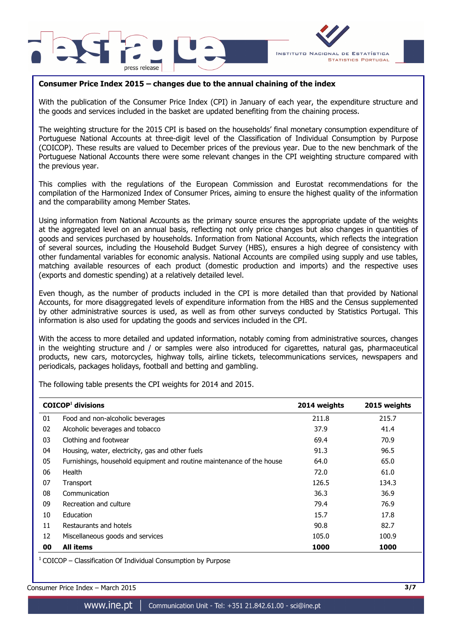



## **Consumer Price Index 2015 – changes due to the annual chaining of the index**

With the publication of the Consumer Price Index (CPI) in January of each year, the expenditure structure and the goods and services included in the basket are updated benefiting from the chaining process.

The weighting structure for the 2015 CPI is based on the households' final monetary consumption expenditure of Portuguese National Accounts at three-digit level of the Classification of Individual Consumption by Purpose (COICOP). These results are valued to December prices of the previous year. Due to the new benchmark of the Portuguese National Accounts there were some relevant changes in the CPI weighting structure compared with the previous year.

This complies with the regulations of the European Commission and Eurostat recommendations for the compilation of the Harmonized Index of Consumer Prices, aiming to ensure the highest quality of the information and the comparability among Member States.

Using information from National Accounts as the primary source ensures the appropriate update of the weights at the aggregated level on an annual basis, reflecting not only price changes but also changes in quantities of goods and services purchased by households. Information from National Accounts, which reflects the integration of several sources, including the Household Budget Survey (HBS), ensures a high degree of consistency with other fundamental variables for economic analysis. National Accounts are compiled using supply and use tables, matching available resources of each product (domestic production and imports) and the respective uses (exports and domestic spending) at a relatively detailed level.

Even though, as the number of products included in the CPI is more detailed than that provided by National Accounts, for more disaggregated levels of expenditure information from the HBS and the Census supplemented by other administrative sources is used, as well as from other surveys conducted by Statistics Portugal. This information is also used for updating the goods and services included in the CPI.

With the access to more detailed and updated information, notably coming from administrative sources, changes in the weighting structure and / or samples were also introduced for cigarettes, natural gas, pharmaceutical products, new cars, motorcycles, highway tolls, airline tickets, telecommunications services, newspapers and periodicals, packages holidays, football and betting and gambling.

The following table presents the CPI weights for 2014 and 2015.

|    | $COICOP1$ divisions                                                   | 2014 weights | 2015 weights |
|----|-----------------------------------------------------------------------|--------------|--------------|
| 01 | Food and non-alcoholic beverages                                      | 211.8        | 215.7        |
| 02 | Alcoholic beverages and tobacco                                       | 37.9         | 41.4         |
| 03 | Clothing and footwear                                                 | 69.4         | 70.9         |
| 04 | Housing, water, electricity, gas and other fuels                      | 91.3         | 96.5         |
| 05 | Furnishings, household equipment and routine maintenance of the house | 64.0         | 65.0         |
| 06 | Health                                                                | 72.0         | 61.0         |
| 07 | Transport                                                             | 126.5        | 134.3        |
| 08 | Communication                                                         | 36.3         | 36.9         |
| 09 | Recreation and culture                                                | 79.4         | 76.9         |
| 10 | Education                                                             | 15.7         | 17.8         |
| 11 | Restaurants and hotels                                                | 90.8         | 82.7         |
| 12 | Miscellaneous goods and services                                      | 105.0        | 100.9        |
| 00 | <b>All items</b>                                                      | 1000         | 1000         |

 $1$  COICOP – Classification Of Individual Consumption by Purpose

Consumer Price Index – March 2015 **3/7**

www.ine.pt |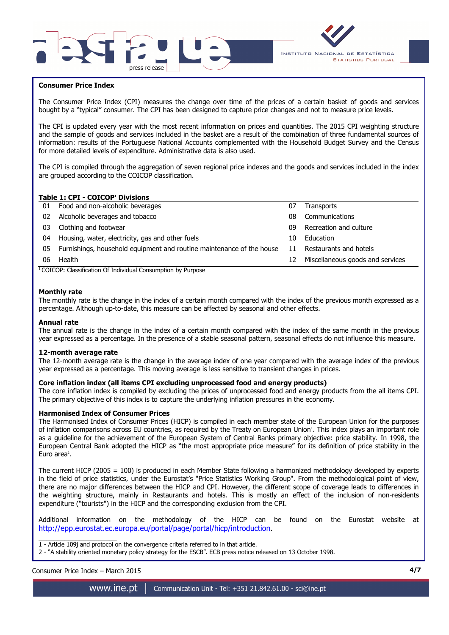



## **Consumer Price Index**

I

The Consumer Price Index (CPI) measures the change over time of the prices of a certain basket of goods and services bought by a "typical" consumer. The CPI has been designed to capture price changes and not to measure price levels.

The CPI is updated every year with the most recent information on prices and quantities. The 2015 CPI weighting structure and the sample of goods and services included in the basket are a result of the combination of three fundamental sources of information: results of the Portuguese National Accounts complemented with the Household Budget Survey and the Census for more detailed levels of expenditure. Administrative data is also used.

The CPI is compiled through the aggregation of seven regional price indexes and the goods and services included in the index are grouped according to the COICOP classification.

## **Table 1: CPI - COICOP<sup>1</sup> Divisions**

| 01 | Food and non-alcoholic beverages                                      | 07 | <b>Transports</b>                |
|----|-----------------------------------------------------------------------|----|----------------------------------|
| 02 | Alcoholic beverages and tobacco                                       | 08 | Communications                   |
| 03 | Clothing and footwear                                                 | 09 | Recreation and culture           |
| 04 | Housing, water, electricity, gas and other fuels                      | 10 | Education                        |
| 05 | Furnishings, household equipment and routine maintenance of the house | 11 | Restaurants and hotels           |
| 06 | Health                                                                | 12 | Miscellaneous goods and services |
|    | $\cdots$<br>$\cdots$<br>$\sim$                                        |    |                                  |

<sup>1</sup> COICOP: Classification Of Individual Consumption by Purpose

### **Monthly rate**

The monthly rate is the change in the index of a certain month compared with the index of the previous month expressed as a percentage. Although up-to-date, this measure can be affected by seasonal and other effects.

#### **Annual rate**

The annual rate is the change in the index of a certain month compared with the index of the same month in the previous year expressed as a percentage. In the presence of a stable seasonal pattern, seasonal effects do not influence this measure.

#### **12-month average rate**

The 12-month average rate is the change in the average index of one year compared with the average index of the previous year expressed as a percentage. This moving average is less sensitive to transient changes in prices.

#### **Core inflation index (all items CPI excluding unprocessed food and energy products)**

The core inflation index is compiled by excluding the prices of unprocessed food and energy products from the all items CPI. The primary objective of this index is to capture the underlying inflation pressures in the economy.

#### **Harmonised Index of Consumer Prices**

The Harmonised Index of Consumer Prices (HICP) is compiled in each member state of the European Union for the purposes of inflation comparisons across EU countries, as required by the Treaty on European Union'. This index plays an important role as a guideline for the achievement of the European System of Central Banks primary objective: price stability. In 1998, the European Central Bank adopted the HICP as "the most appropriate price measure" for its definition of price stability in the Euro area<sup>2</sup>.

The current HICP (2005 = 100) is produced in each Member State following a harmonized methodology developed by experts in the field of price statistics, under the Eurostat's "Price Statistics Working Group". From the methodological point of view, there are no major differences between the HICP and CPI. However, the different scope of coverage leads to differences in the weighting structure, mainly in Restaurants and hotels. This is mostly an effect of the inclusion of non-residents expenditure ("tourists") in the HICP and the corresponding exclusion from the CPI.

Additional information on the methodology of the HICP can be found on the Eurostat website at http://epp.eurostat.ec.europa.eu/portal/page/portal/hicp/introduction.

\_\_\_\_\_\_\_\_\_\_\_\_\_\_\_\_\_\_\_\_\_ 1 - Article 109j and protocol on the convergence criteria referred to in that article.

2 - "A stability oriented monetary policy strategy for the ESCB". ECB press notice released on 13 October 1998.

Consumer Price Index – March 2015 **4/7**

www.ine.pt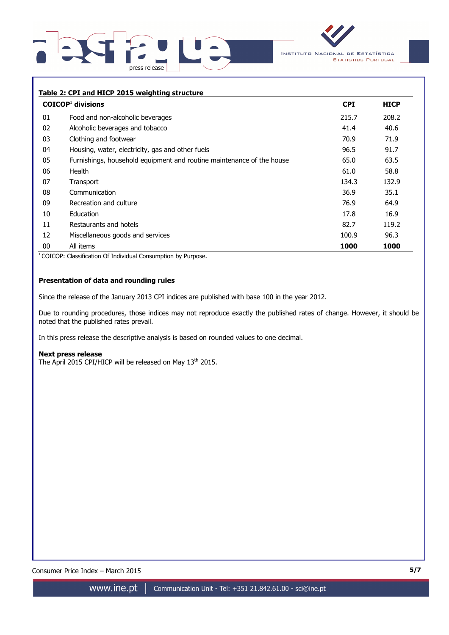



## **Table 2: CPI and HICP 2015 weighting structure**

|    | $COICOP1$ divisions                                                   | <b>CPI</b> | <b>HICP</b> |
|----|-----------------------------------------------------------------------|------------|-------------|
| 01 | Food and non-alcoholic beverages                                      | 215.7      | 208.2       |
| 02 | Alcoholic beverages and tobacco                                       | 41.4       | 40.6        |
| 03 | Clothing and footwear                                                 | 70.9       | 71.9        |
| 04 | Housing, water, electricity, gas and other fuels                      | 96.5       | 91.7        |
| 05 | Furnishings, household equipment and routine maintenance of the house | 65.0       | 63.5        |
| 06 | Health                                                                | 61.0       | 58.8        |
| 07 | Transport                                                             | 134.3      | 132.9       |
| 08 | Communication                                                         | 36.9       | 35.1        |
| 09 | Recreation and culture                                                | 76.9       | 64.9        |
| 10 | Education                                                             | 17.8       | 16.9        |
| 11 | Restaurants and hotels                                                | 82.7       | 119.2       |
| 12 | Miscellaneous goods and services                                      | 100.9      | 96.3        |
| 00 | All items                                                             | 1000       | 1000        |

<sup>1</sup> COICOP: Classification Of Individual Consumption by Purpose.

## **Presentation of data and rounding rules**

Since the release of the January 2013 CPI indices are published with base 100 in the year 2012.

Due to rounding procedures, those indices may not reproduce exactly the published rates of change. However, it should be noted that the published rates prevail.

In this press release the descriptive analysis is based on rounded values to one decimal.

#### **Next press release**

The April 2015 CPI/HICP will be released on May 13<sup>th</sup> 2015.

Consumer Price Index – March 2015 **5/7**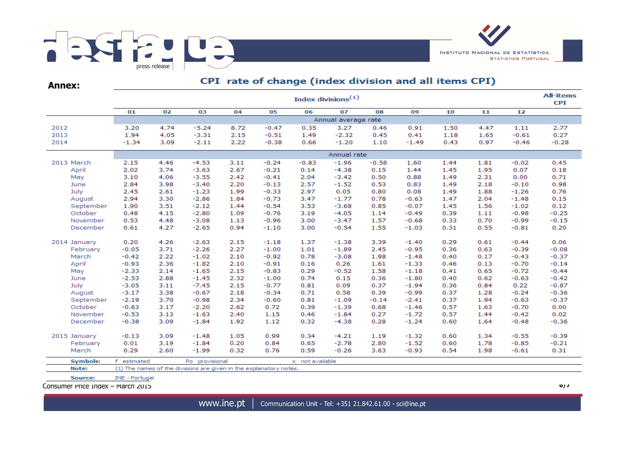

**Annex:**

# CPI rate of change (index division and all items CPI)

|                 | <b>All-items</b><br>Index divisions $(1)$ |      |                                                                    |      |         |                 |         |         |         |      |      |         |         |  |
|-----------------|-------------------------------------------|------|--------------------------------------------------------------------|------|---------|-----------------|---------|---------|---------|------|------|---------|---------|--|
|                 | 01                                        | 02   | 03                                                                 | 04   | 05      | 06              | 07      | 08      | 09      | 10   | 11   | 12      |         |  |
|                 | Annual average rate                       |      |                                                                    |      |         |                 |         |         |         |      |      |         |         |  |
| 2012            | 3.20                                      | 4.74 | $-5.24$                                                            | 8.72 | $-0.47$ | 0.35            | 3.27    | 0.46    | 0.91    | 1.50 | 4.47 | 1.11    | 2.77    |  |
| 2013            | 1.94                                      | 4.05 | $-3.31$                                                            | 2.15 | $-0.51$ | 1.49            | $-2.32$ | 0.45    | 0.41    | 1.18 | 1.65 | $-0.61$ | 0.27    |  |
| 2014            | $-1.34$                                   | 3.09 | $-2.11$                                                            | 2.22 | $-0.38$ | 0.66            | $-1.20$ | 1.10    | $-1.49$ | 0.43 | 0.97 | $-0.46$ | $-0.28$ |  |
|                 | Annual rate                               |      |                                                                    |      |         |                 |         |         |         |      |      |         |         |  |
| 2013 March      | 2.15                                      | 4.46 | $-4.53$                                                            | 3.11 | $-0.24$ | $-0.83$         | $-1.96$ | $-0.58$ | 1.60    | 1.44 | 1.81 | $-0.02$ | 0.45    |  |
| April           | 2.02                                      | 3.74 | $-3.63$                                                            | 2.67 | $-0.21$ | 0.14            | $-4.38$ | 0.15    | 1.44    | 1.45 | 1.95 | 0.07    | 0.18    |  |
| May             | 3.10                                      | 4.06 | $-3.55$                                                            | 2.42 | $-0.41$ | 2.04            | $-3.42$ | 0.50    | 0.88    | 1.49 | 2.31 | 0.00    | 0.71    |  |
| June            | 2.84                                      | 3.98 | $-3.40$                                                            | 2.20 | $-0.13$ | 2.57            | $-1.52$ | 0.53    | 0.83    | 1.49 | 2.18 | $-0.10$ | 0.98    |  |
| July            | 2.45                                      | 2.61 | $-1.23$                                                            | 1.99 | $-0.33$ | 2.97            | 0.05    | 0.80    | 0.08    | 1.49 | 1.88 | $-1.26$ | 0.76    |  |
| August          | 2.94                                      | 3.30 | $-2.86$                                                            | 1.84 | $-0.73$ | 3.47            | $-1.77$ | 0.78    | $-0.63$ | 1.47 | 2.04 | $-1.48$ | 0.15    |  |
| September       | 1.90                                      | 3.51 | $-2.12$                                                            | 1.44 | $-0.54$ | 3.53            | $-3.68$ | 0.85    | $-0.07$ | 1.45 | 1.56 | $-1.02$ | 0.12    |  |
| October         | 0.48                                      | 4.15 | $-2.80$                                                            | 1.09 | $-0.76$ | 3.19            | $-4.05$ | 1.14    | $-0.49$ | 0.39 | 1.11 | $-0.98$ | $-0.25$ |  |
| November        | 0.53                                      | 4.48 | $-3.08$                                                            | 1.13 | $-0.96$ | 3.00            | $-3.47$ | 1.57    | $-0.68$ | 0.33 | 0.70 | $-0.99$ | $-0.15$ |  |
| December        | 0.61                                      | 4.27 | $-2.65$                                                            | 0.94 | $-1.10$ | 3.00            | $-0.54$ | 1.55    | $-1.03$ | 0.31 | 0.55 | $-0.81$ | 0.20    |  |
| 2014 January    | 0.20                                      | 4.26 | $-2.63$                                                            | 2.15 | $-1.18$ | 1.37            | $-1.38$ | 3.39    | $-1.40$ | 0.29 | 0.61 | $-0.44$ | 0.06    |  |
| February        | $-0.05$                                   | 3.71 | $-2.26$                                                            | 2.27 | $-1.00$ | 1.01            | $-1.89$ | 2.45    | $-0.95$ | 0.36 | 0.63 | $-0.39$ | $-0.08$ |  |
| March           | $-0.42$                                   | 2.22 | $-1.02$                                                            | 2.10 | $-0.92$ | 0.78            | $-3.08$ | 1.98    | $-1.48$ | 0.40 | 0.17 | $-0.43$ | $-0.37$ |  |
| April           | $-0.93$                                   | 2.36 | $-1.82$                                                            | 2.10 | $-0.91$ | 0.16            | 0.26    | 1.61    | $-1.33$ | 0.46 | 0.13 | $-0.70$ | $-0.14$ |  |
| May             | $-2.33$                                   | 2.14 | $-1.65$                                                            | 2.15 | $-0.83$ | 0.29            | $-0.52$ | 1.58    | $-1.18$ | 0.41 | 0.65 | $-0.72$ | $-0.44$ |  |
| June            | $-2.53$                                   | 2.88 | $-1.45$                                                            | 2.32 | $-1.00$ | 0.74            | 0.15    | 0.36    | $-1.80$ | 0.40 | 0.62 | $-0.63$ | $-0.42$ |  |
| July            | $-3.05$                                   | 3.11 | $-7.45$                                                            | 2.15 | $-0.77$ | 0.81            | 0.09    | 0.37    | $-1.94$ | 0.36 | 0.84 | 0.22    | $-0.87$ |  |
| August          | $-3.17$                                   | 3.38 | $-0.67$                                                            | 2.18 | $-0.34$ | 0.71            | 0.58    | 0.39    | $-0.99$ | 0.37 | 1.28 | $-0.24$ | $-0.36$ |  |
| September       | $-2.19$                                   | 3.70 | $-0.98$                                                            | 2.34 | $-0.60$ | 0.81            | $-1.09$ | $-0.14$ | $-2.41$ | 0.37 | 1.94 | $-0.63$ | $-0.37$ |  |
| October         | $-0.63$                                   | 3.17 | $-2.20$                                                            | 2.62 | 0.72    | 0.39            | $-1.39$ | 0.68    | $-1.46$ | 0.57 | 1.63 | $-0.70$ | 0.00    |  |
| November        | $-0.53$                                   | 3.13 | $-1.63$                                                            | 2.40 | 1.15    | 0.46            | $-1.84$ | 0.27    | $-1.72$ | 0.57 | 1.44 | $-0.42$ | 0.02    |  |
| December        | $-0.38$                                   | 3.09 | $-1.84$                                                            | 1.92 | 1.12    | 0.32            | $-4.38$ | 0.28    | $-1.24$ | 0.60 | 1.64 | $-0.48$ | $-0.36$ |  |
| 2015 January    | $-0.13$                                   | 3.09 | $-1.48$                                                            | 1.05 | 0.99    | 0.34            | $-4.21$ | 1.19    | $-1.32$ | 0.60 | 1.34 | $-0.55$ | $-0.39$ |  |
| February        | 0.01                                      | 3.19 | $-1.84$                                                            | 0.20 | 0.84    | 0.65            | $-2.78$ | 2.80    | $-1.52$ | 0.60 | 1.78 | $-0.85$ | $-0.21$ |  |
| March           | 0.29                                      | 2.60 | $-1.99$                                                            | 0.32 | 0.76    | 0.59            | $-0.26$ | 3.63    | $-0.93$ | 0.54 | 1.98 | $-0.61$ | 0.31    |  |
| <b>Symbols:</b> | f.<br>estimated                           |      | Po provisional                                                     |      |         | x not available |         |         |         |      |      |         |         |  |
| Note:           |                                           |      | (1) The names of the divisions are given in the explanatory notes. |      |         |                 |         |         |         |      |      |         |         |  |
| Source:         | INE - Portugal                            |      |                                                                    |      |         |                 |         |         |         |      |      |         |         |  |

Consumer Price Index – March 2015 **6/7**

www.ine.pt | Communication Unit - Tel: +351 21.842.61.00 - sci@ine.pt